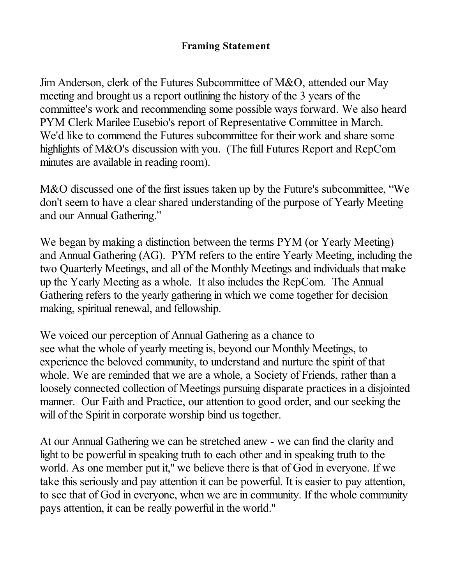## **Framing Statement**

Jim Anderson, clerk of the Futures Subcommittee of M&O, attended our May meeting and brought us a report outlining the history of the 3 years of the committee's work and recommending some possible ways forward. We also heard PYM Clerk Marilee Eusebio's report of Representative Committee in March. We'd like to commend the Futures subcommittee for their work and share some highlights of M&O's discussion with you. (The full Futures Report and RepCom minutes are available in reading room).

M&O discussed one of the first issues taken up by the Future's subcommittee, "We don't seem to have a clear shared understanding of the purpose of Yearly Meeting and our Annual Gathering."

We began by making a distinction between the terms PYM (or Yearly Meeting) and Annual Gathering (AG). PYM refers to the entire Yearly Meeting, including the two Quarterly Meetings, and all of the Monthly Meetings and individuals that make up the Yearly Meeting as a whole. It also includes the RepCom. The Annual Gathering refers to the yearly gathering in which we come together for decision making, spiritual renewal, and fellowship.

We voiced our perception of Annual Gathering as a chance to see what the whole of yearly meeting is, beyond our Monthly Meetings, to experience the beloved community, to understand and nurture the spirit of that whole. We are reminded that we are a whole, a Society of Friends, rather than a loosely connected collection of Meetings pursuing disparate practices in a disjointed manner. Our Faith and Practice, our attention to good order, and our seeking the will of the Spirit in corporate worship bind us together.

At our Annual Gathering we can be stretched anew - we can find the clarity and light to be powerful in speaking truth to each other and in speaking truth to the world. As one member put it," we believe there is that of God in everyone. If we take this seriously and pay attention it can be powerful. It is easier to pay attention, to see that of God in everyone, when we are in community. If the whole community pays attention, it can be really powerful in the world."